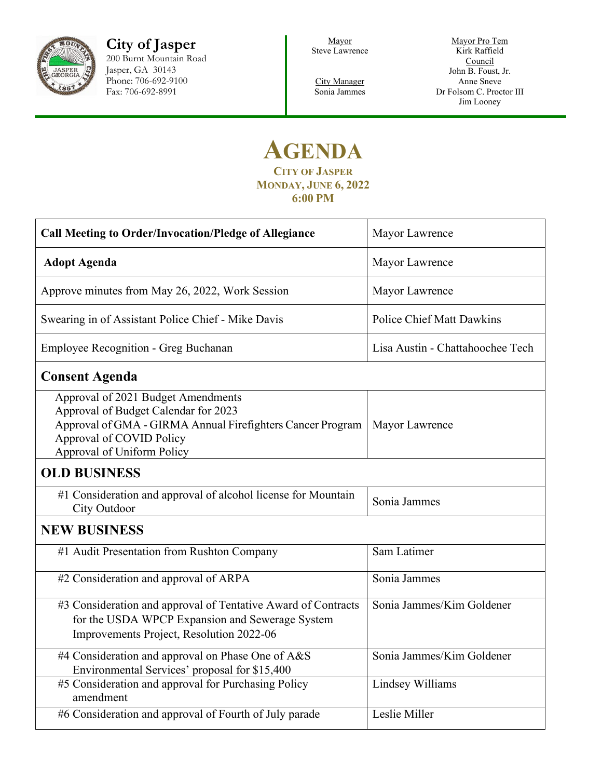

**City of Jasper** 200 Burnt Mountain Road Jasper, GA 30143 Phone: 706-692-9100 Fax: 706-692-8991

Mayor Steve Lawrence

City Manager Sonia Jammes

Mayor Pro Tem Kirk Raffield **Council** John B. Foust, Jr. Anne Sneve Dr Folsom C. Proctor III Jim Looney

## **AGENDA CITY OF JASPER MONDAY, JUNE 6, 2022 6:00 PM**

| <b>Call Meeting to Order/Invocation/Pledge of Allegiance</b>                                                                                                                                       | Mayor Lawrence                   |  |  |
|----------------------------------------------------------------------------------------------------------------------------------------------------------------------------------------------------|----------------------------------|--|--|
| <b>Adopt Agenda</b>                                                                                                                                                                                | Mayor Lawrence                   |  |  |
| Approve minutes from May 26, 2022, Work Session                                                                                                                                                    | Mayor Lawrence                   |  |  |
| Swearing in of Assistant Police Chief - Mike Davis                                                                                                                                                 | <b>Police Chief Matt Dawkins</b> |  |  |
| <b>Employee Recognition - Greg Buchanan</b>                                                                                                                                                        | Lisa Austin - Chattahoochee Tech |  |  |
| <b>Consent Agenda</b>                                                                                                                                                                              |                                  |  |  |
| Approval of 2021 Budget Amendments<br>Approval of Budget Calendar for 2023<br>Approval of GMA - GIRMA Annual Firefighters Cancer Program<br>Approval of COVID Policy<br>Approval of Uniform Policy | Mayor Lawrence                   |  |  |
| <b>OLD BUSINESS</b>                                                                                                                                                                                |                                  |  |  |
| #1 Consideration and approval of alcohol license for Mountain<br>City Outdoor                                                                                                                      | Sonia Jammes                     |  |  |
| <b>NEW BUSINESS</b>                                                                                                                                                                                |                                  |  |  |
| #1 Audit Presentation from Rushton Company                                                                                                                                                         | Sam Latimer                      |  |  |
| #2 Consideration and approval of ARPA                                                                                                                                                              | Sonia Jammes                     |  |  |
| #3 Consideration and approval of Tentative Award of Contracts<br>for the USDA WPCP Expansion and Sewerage System<br>Improvements Project, Resolution 2022-06                                       | Sonia Jammes/Kim Goldener        |  |  |
| #4 Consideration and approval on Phase One of A&S<br>Environmental Services' proposal for \$15,400                                                                                                 | Sonia Jammes/Kim Goldener        |  |  |
| #5 Consideration and approval for Purchasing Policy<br>amendment                                                                                                                                   | Lindsey Williams                 |  |  |
| #6 Consideration and approval of Fourth of July parade                                                                                                                                             | Leslie Miller                    |  |  |